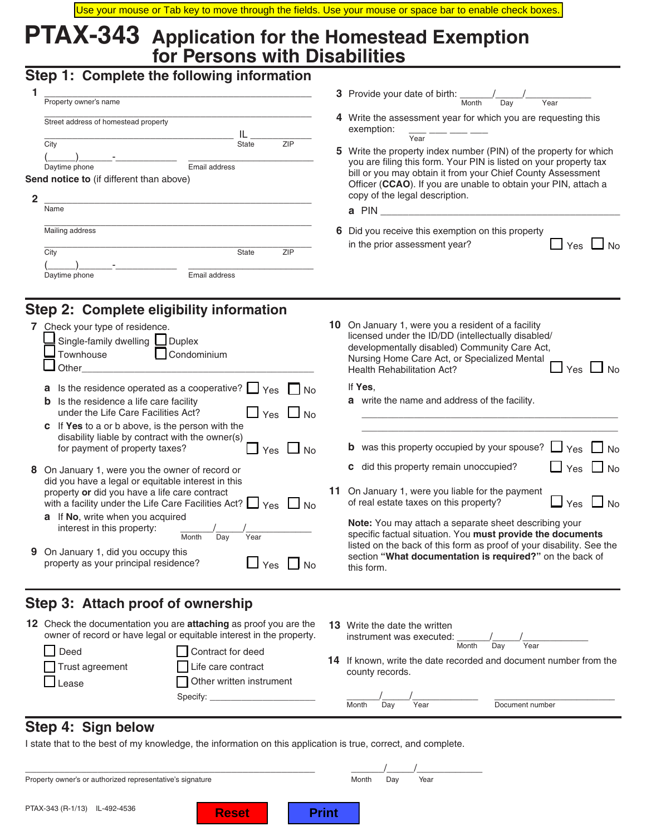# **PTAX-343 Application for the Homestead Exemption for Persons with Disabilities**

# **Step 1: Complete the following information**

|   | Property owner's name                                                                                                              |                     |     | <b>3</b> Provide your date of birth:<br>Month<br>Day<br>Year                                                                                                                                                                                                                                                                                                                                                     |  |  |  |
|---|------------------------------------------------------------------------------------------------------------------------------------|---------------------|-----|------------------------------------------------------------------------------------------------------------------------------------------------------------------------------------------------------------------------------------------------------------------------------------------------------------------------------------------------------------------------------------------------------------------|--|--|--|
| ≏ | Street address of homestead property<br>City<br>Email address<br>Daytime phone<br>Send notice to (if different than above)<br>Name | ZIP<br><b>State</b> |     | Write the assessment year for which you are requesting this<br>4<br>exemption:<br>Year<br>Write the property index number (PIN) of the property for which<br>5.<br>you are filing this form. Your PIN is listed on your property tax<br>bill or you may obtain it from your Chief County Assessment<br>Officer (CCAO). If you are unable to obtain your PIN, attach a<br>copy of the legal description.<br>a PIN |  |  |  |
|   | Mailing address<br>City<br>Email address<br>Daytime phone                                                                          | <b>State</b>        | ZIP | Did you receive this exemption on this property<br>6<br>in the prior assessment year?                                                                                                                                                                                                                                                                                                                            |  |  |  |

# **Step 2: Complete eligibility information**

| 7 Check your type of residence.<br>Single-family dwelling Duplex<br>Condominium<br>Townhouse<br>Other                                                                           | 10  | On January 1, were you a resident of a facility<br>licensed under the ID/DD (intellectually disabled/<br>developmentally disabled) Community Care Act,<br>Nursing Home Care Act, or Specialized Mental<br><b>Health Rehabilitation Act?</b><br>Yes |  |  |  |  |
|---------------------------------------------------------------------------------------------------------------------------------------------------------------------------------|-----|----------------------------------------------------------------------------------------------------------------------------------------------------------------------------------------------------------------------------------------------------|--|--|--|--|
| Is the residence operated as a cooperative? $\Box$ Yes $\Box$ No<br>a                                                                                                           |     | If Yes,                                                                                                                                                                                                                                            |  |  |  |  |
| Is the residence a life care facility<br>b<br>under the Life Care Facilities Act?<br>Yes $\Box$ No                                                                              |     | <b>a</b> write the name and address of the facility.                                                                                                                                                                                               |  |  |  |  |
| If Yes to a or b above, is the person with the<br>C.                                                                                                                            |     |                                                                                                                                                                                                                                                    |  |  |  |  |
| disability liable by contract with the owner(s)<br>for payment of property taxes?<br>Yes $\Box$ No                                                                              |     | <b>b</b> was this property occupied by your spouse?<br>$\Box$<br>Yes $\Box$ No                                                                                                                                                                     |  |  |  |  |
| 8 On January 1, were you the owner of record or                                                                                                                                 |     | $\Box$ Yes $\Box$ No<br>did this property remain unoccupied?<br>C.                                                                                                                                                                                 |  |  |  |  |
| did you have a legal or equitable interest in this<br>property or did you have a life care contract<br>with a facility under the Life Care Facilities Act? $\Box$ Yes $\Box$ No | 11. | On January 1, were you liable for the payment<br>$\Box$ Yes $\Box$ No<br>of real estate taxes on this property?                                                                                                                                    |  |  |  |  |
| If No, write when you acquired<br>a<br>interest in this property:<br>Month<br>Day<br>Year                                                                                       |     | <b>Note:</b> You may attach a separate sheet describing your<br>specific factual situation. You must provide the documents<br>listed on the back of this form as proof of your disability. See the                                                 |  |  |  |  |
| <b>9</b> On January 1, did you occupy this<br>property as your principal residence?<br>Yes                                                                                      |     | section "What documentation is required?" on the back of<br>this form.                                                                                                                                                                             |  |  |  |  |

## **Step 3: Attach proof of ownership**

|                                  | 12 Check the documentation you are <b>attaching</b> as proof you are the<br>owner of record or have legal or equitable interest in the property. |    | <b>13</b> Write the date the written<br>instrument was executed:                  |      |       |     |                 |  |
|----------------------------------|--------------------------------------------------------------------------------------------------------------------------------------------------|----|-----------------------------------------------------------------------------------|------|-------|-----|-----------------|--|
| Deed<br>Trust agreement<br>Lease | Contract for deed<br>Life care contract<br>Other written instrument                                                                              | 14 | If known, write the date recorded and document number from the<br>county records. |      | Month | Dav | Year            |  |
|                                  | Specify:                                                                                                                                         |    | Month<br>Dav                                                                      | Year |       |     | Document number |  |

## **Step 4: Sign below**

I state that to the best of my knowledge, the information on this application is true, correct, and complete.

| Property owner's or authorized representative's signature | Month | Dav | Year |  |
|-----------------------------------------------------------|-------|-----|------|--|
|                                                           |       |     |      |  |

**Reset** | **Print**